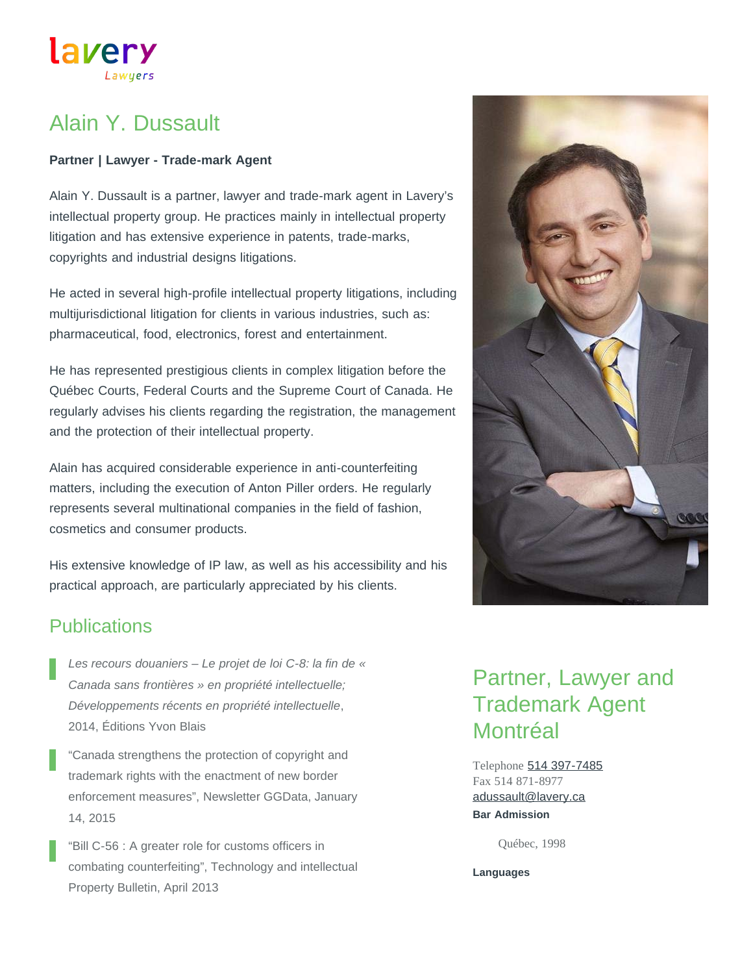# Alain Y. Dussault

lavery

#### **Partner | Lawyer - Trade-mark Agent**

Alain Y. Dussault is a partner, lawyer and trade-mark agent in Lavery's intellectual property group. He practices mainly in intellectual property litigation and has extensive experience in patents, trade-marks, copyrights and industrial designs litigations.

He acted in several high-profile intellectual property litigations, including multijurisdictional litigation for clients in various industries, such as: pharmaceutical, food, electronics, forest and entertainment.

He has represented prestigious clients in complex litigation before the Québec Courts, Federal Courts and the Supreme Court of Canada. He regularly advises his clients regarding the registration, the management and the protection of their intellectual property.

Alain has acquired considerable experience in anti-counterfeiting matters, including the execution of Anton Piller orders. He regularly represents several multinational companies in the field of fashion, cosmetics and consumer products.

His extensive knowledge of IP law, as well as his accessibility and his practical approach, are particularly appreciated by his clients.

### **Publications**

*Les recours douaniers – Le projet de loi C-8: la fin de « Canada sans frontières » en propriété intellectuelle; Développements récents en propriété intellectuelle*, 2014, Éditions Yvon Blais

"Canada strengthens the protection of copyright and trademark rights with the enactment of new border enforcement measures", Newsletter GGData, January 14, 2015

"Bill C-56 : A greater role for customs officers in combating counterfeiting", Technology and intellectual Property Bulletin, April 2013

# Partner, Lawyer and Trademark Agent **Montréal**

Telephone [514 397-7485](tel:514-397-7485) Fax 514 871-8977 **Bar Admission** [adussault@lavery.ca](mailto:adussault@lavery.ca)

Québec, 1998

**Languages**